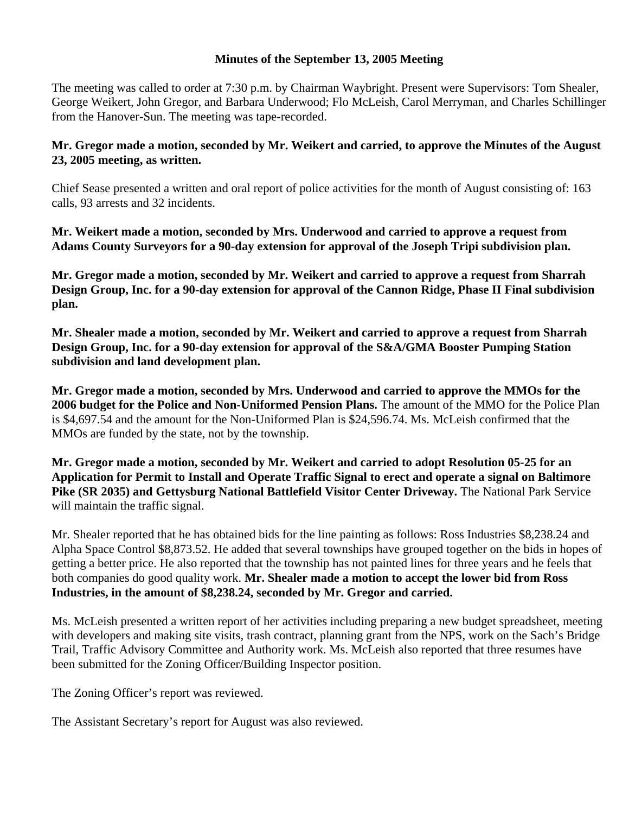## **Minutes of the September 13, 2005 Meeting**

The meeting was called to order at 7:30 p.m. by Chairman Waybright. Present were Supervisors: Tom Shealer, George Weikert, John Gregor, and Barbara Underwood; Flo McLeish, Carol Merryman, and Charles Schillinger from the Hanover-Sun. The meeting was tape-recorded.

## **Mr. Gregor made a motion, seconded by Mr. Weikert and carried, to approve the Minutes of the August 23, 2005 meeting, as written.**

Chief Sease presented a written and oral report of police activities for the month of August consisting of: 163 calls, 93 arrests and 32 incidents.

**Mr. Weikert made a motion, seconded by Mrs. Underwood and carried to approve a request from Adams County Surveyors for a 90-day extension for approval of the Joseph Tripi subdivision plan.** 

**Mr. Gregor made a motion, seconded by Mr. Weikert and carried to approve a request from Sharrah Design Group, Inc. for a 90-day extension for approval of the Cannon Ridge, Phase II Final subdivision plan.** 

**Mr. Shealer made a motion, seconded by Mr. Weikert and carried to approve a request from Sharrah Design Group, Inc. for a 90-day extension for approval of the S&A/GMA Booster Pumping Station subdivision and land development plan.** 

**Mr. Gregor made a motion, seconded by Mrs. Underwood and carried to approve the MMOs for the 2006 budget for the Police and Non-Uniformed Pension Plans.** The amount of the MMO for the Police Plan is \$4,697.54 and the amount for the Non-Uniformed Plan is \$24,596.74. Ms. McLeish confirmed that the MMOs are funded by the state, not by the township.

**Mr. Gregor made a motion, seconded by Mr. Weikert and carried to adopt Resolution 05-25 for an Application for Permit to Install and Operate Traffic Signal to erect and operate a signal on Baltimore Pike (SR 2035) and Gettysburg National Battlefield Visitor Center Driveway.** The National Park Service will maintain the traffic signal.

Mr. Shealer reported that he has obtained bids for the line painting as follows: Ross Industries \$8,238.24 and Alpha Space Control \$8,873.52. He added that several townships have grouped together on the bids in hopes of getting a better price. He also reported that the township has not painted lines for three years and he feels that both companies do good quality work. **Mr. Shealer made a motion to accept the lower bid from Ross Industries, in the amount of \$8,238.24, seconded by Mr. Gregor and carried.** 

Ms. McLeish presented a written report of her activities including preparing a new budget spreadsheet, meeting with developers and making site visits, trash contract, planning grant from the NPS, work on the Sach's Bridge Trail, Traffic Advisory Committee and Authority work. Ms. McLeish also reported that three resumes have been submitted for the Zoning Officer/Building Inspector position.

The Zoning Officer's report was reviewed.

The Assistant Secretary's report for August was also reviewed.